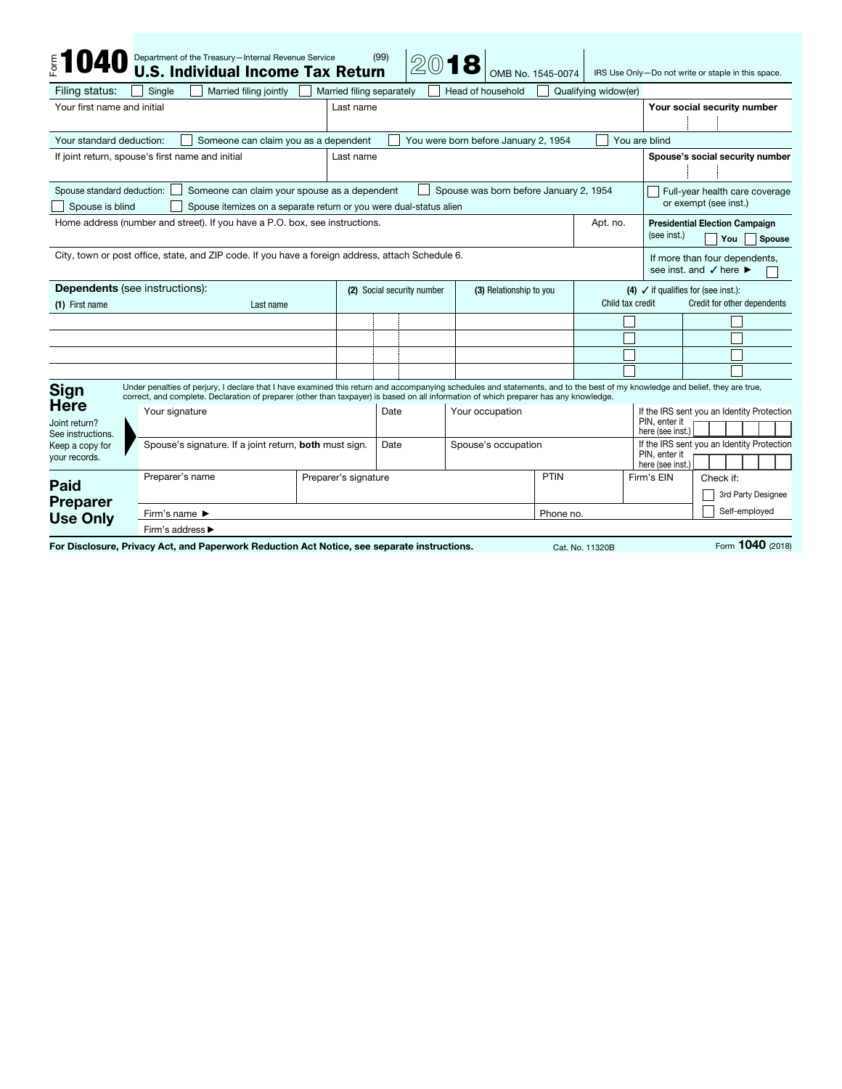| <b>\$1040</b>                                                                                                                                                                                                 | Department of the Treasury-Internal Revenue Service<br><b>U.S. Individual Income Tax Return</b>                                                                                                                                                                                                                       |                           | (99)                       | 2018                    | OMB No. 1545-0074                    |                         |                      |                                                                    | IRS Use Only-Do not write or staple in this space.                                     |  |
|---------------------------------------------------------------------------------------------------------------------------------------------------------------------------------------------------------------|-----------------------------------------------------------------------------------------------------------------------------------------------------------------------------------------------------------------------------------------------------------------------------------------------------------------------|---------------------------|----------------------------|-------------------------|--------------------------------------|-------------------------|----------------------|--------------------------------------------------------------------|----------------------------------------------------------------------------------------|--|
| Filing status:                                                                                                                                                                                                | Married filing jointly<br>Single                                                                                                                                                                                                                                                                                      | Married filing separately |                            |                         | Head of household                    |                         | Qualifying widow(er) |                                                                    |                                                                                        |  |
| Your first name and initial                                                                                                                                                                                   |                                                                                                                                                                                                                                                                                                                       |                           | Last name                  |                         |                                      |                         |                      |                                                                    | Your social security number                                                            |  |
|                                                                                                                                                                                                               |                                                                                                                                                                                                                                                                                                                       |                           |                            |                         |                                      |                         |                      |                                                                    |                                                                                        |  |
| Your standard deduction:                                                                                                                                                                                      | Someone can claim you as a dependent                                                                                                                                                                                                                                                                                  |                           |                            |                         | You were born before January 2, 1954 |                         |                      | You are blind                                                      |                                                                                        |  |
| If joint return, spouse's first name and initial                                                                                                                                                              |                                                                                                                                                                                                                                                                                                                       |                           | Last name                  |                         |                                      |                         |                      |                                                                    | Spouse's social security number                                                        |  |
| Spouse standard deduction:<br>Someone can claim your spouse as a dependent<br>Spouse was born before January 2, 1954<br>Spouse is blind<br>Spouse itemizes on a separate return or you were dual-status alien |                                                                                                                                                                                                                                                                                                                       |                           |                            |                         |                                      |                         |                      | Full-year health care coverage<br>or exempt (see inst.)            |                                                                                        |  |
| Home address (number and street). If you have a P.O. box, see instructions.                                                                                                                                   |                                                                                                                                                                                                                                                                                                                       |                           |                            |                         | Apt. no.                             |                         |                      | <b>Presidential Election Campaign</b><br>(see inst.)<br>You Spouse |                                                                                        |  |
|                                                                                                                                                                                                               | City, town or post office, state, and ZIP code. If you have a foreign address, attach Schedule 6.                                                                                                                                                                                                                     |                           |                            |                         |                                      |                         |                      |                                                                    | If more than four dependents,<br>see inst. and $\checkmark$ here $\blacktriangleright$ |  |
| <b>Dependents</b> (see instructions):                                                                                                                                                                         |                                                                                                                                                                                                                                                                                                                       |                           | (2) Social security number |                         |                                      | (3) Relationship to you |                      | (4) $\checkmark$ if qualifies for (see inst.):                     |                                                                                        |  |
| (1) First name<br>Last name                                                                                                                                                                                   |                                                                                                                                                                                                                                                                                                                       |                           |                            |                         |                                      |                         | Child tax credit     |                                                                    | Credit for other dependents                                                            |  |
|                                                                                                                                                                                                               |                                                                                                                                                                                                                                                                                                                       |                           |                            |                         |                                      |                         |                      |                                                                    |                                                                                        |  |
|                                                                                                                                                                                                               |                                                                                                                                                                                                                                                                                                                       |                           |                            |                         |                                      |                         |                      |                                                                    |                                                                                        |  |
|                                                                                                                                                                                                               |                                                                                                                                                                                                                                                                                                                       |                           |                            |                         |                                      |                         |                      |                                                                    |                                                                                        |  |
|                                                                                                                                                                                                               |                                                                                                                                                                                                                                                                                                                       |                           |                            |                         |                                      |                         |                      |                                                                    |                                                                                        |  |
| <b>Sign</b><br><b>Here</b>                                                                                                                                                                                    | Under penalties of perjury, I declare that I have examined this return and accompanying schedules and statements, and to the best of my knowledge and belief, they are true,<br>correct, and complete. Declaration of preparer (other than taxpayer) is based on all information of which preparer has any knowledge. |                           |                            |                         |                                      |                         |                      |                                                                    |                                                                                        |  |
| Joint return?<br>See instructions.<br>Keep a copy for<br>your records.                                                                                                                                        | Your signature                                                                                                                                                                                                                                                                                                        |                           |                            | Your occupation<br>Date |                                      |                         |                      | PIN, enter it<br>here (see inst.)                                  | If the IRS sent you an Identity Protection                                             |  |
|                                                                                                                                                                                                               | Spouse's signature. If a joint return, both must sign.                                                                                                                                                                                                                                                                |                           |                            | Date                    | Spouse's occupation                  |                         |                      | PIN, enter it<br>here (see inst.)                                  | If the IRS sent you an Identity Protection                                             |  |
|                                                                                                                                                                                                               | Preparer's name<br>Preparer's signature                                                                                                                                                                                                                                                                               |                           |                            |                         |                                      |                         | PTIN<br>Firm's EIN   |                                                                    | Check if:                                                                              |  |
| Paid                                                                                                                                                                                                          |                                                                                                                                                                                                                                                                                                                       |                           |                            |                         |                                      |                         |                      |                                                                    | 3rd Party Designee                                                                     |  |
| <b>Preparer</b><br><b>Use Only</b>                                                                                                                                                                            | Firm's name ▶<br>Phone no.                                                                                                                                                                                                                                                                                            |                           |                            |                         |                                      |                         |                      |                                                                    | Self-employed                                                                          |  |
|                                                                                                                                                                                                               | Firm's address ▶                                                                                                                                                                                                                                                                                                      |                           |                            |                         |                                      |                         |                      |                                                                    |                                                                                        |  |
|                                                                                                                                                                                                               | For Disclosure, Privacy Act, and Paperwork Reduction Act Notice, see separate instructions.                                                                                                                                                                                                                           |                           |                            |                         |                                      |                         | Cat. No. 11320B      |                                                                    | Form 1040 (2018)                                                                       |  |